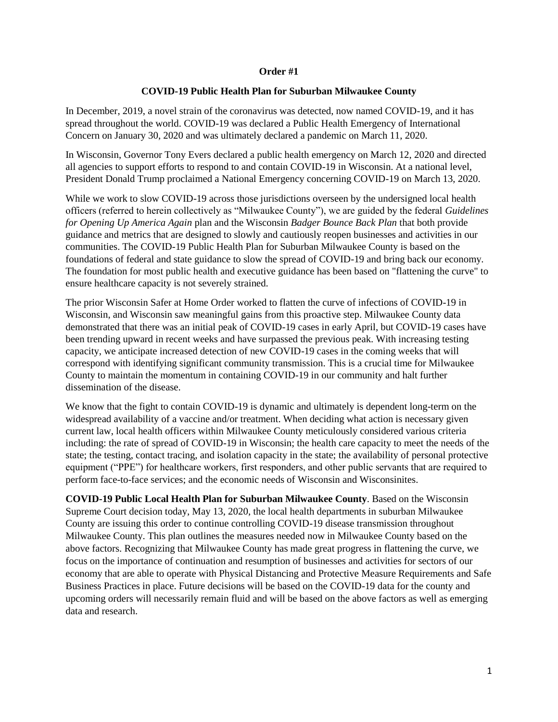## **Order #1**

## **COVID-19 Public Health Plan for Suburban Milwaukee County**

In December, 2019, a novel strain of the coronavirus was detected, now named COVID-19, and it has spread throughout the world. COVID-19 was declared a Public Health Emergency of International Concern on January 30, 2020 and was ultimately declared a pandemic on March 11, 2020.

In Wisconsin, Governor Tony Evers declared a public health emergency on March 12, 2020 and directed all agencies to support efforts to respond to and contain COVID-19 in Wisconsin. At a national level, President Donald Trump proclaimed a National Emergency concerning COVID-19 on March 13, 2020.

While we work to slow COVID-19 across those jurisdictions overseen by the undersigned local health officers (referred to herein collectively as "Milwaukee County"), we are guided by the federal *Guidelines for Opening Up America Again* plan and the Wisconsin *Badger Bounce Back Plan* that both provide guidance and metrics that are designed to slowly and cautiously reopen businesses and activities in our communities. The COVID-19 Public Health Plan for Suburban Milwaukee County is based on the foundations of federal and state guidance to slow the spread of COVID-19 and bring back our economy. The foundation for most public health and executive guidance has been based on "flattening the curve" to ensure healthcare capacity is not severely strained.

The prior Wisconsin Safer at Home Order worked to flatten the curve of infections of COVID-19 in Wisconsin, and Wisconsin saw meaningful gains from this proactive step. Milwaukee County data demonstrated that there was an initial peak of COVID-19 cases in early April, but COVID-19 cases have been trending upward in recent weeks and have surpassed the previous peak. With increasing testing capacity, we anticipate increased detection of new COVID-19 cases in the coming weeks that will correspond with identifying significant community transmission. This is a crucial time for Milwaukee County to maintain the momentum in containing COVID-19 in our community and halt further dissemination of the disease.

We know that the fight to contain COVID-19 is dynamic and ultimately is dependent long-term on the widespread availability of a vaccine and/or treatment. When deciding what action is necessary given current law, local health officers within Milwaukee County meticulously considered various criteria including: the rate of spread of COVID-19 in Wisconsin; the health care capacity to meet the needs of the state; the testing, contact tracing, and isolation capacity in the state; the availability of personal protective equipment ("PPE") for healthcare workers, first responders, and other public servants that are required to perform face-to-face services; and the economic needs of Wisconsin and Wisconsinites.

**COVID-19 Public Local Health Plan for Suburban Milwaukee County**. Based on the Wisconsin Supreme Court decision today, May 13, 2020, the local health departments in suburban Milwaukee County are issuing this order to continue controlling COVID-19 disease transmission throughout Milwaukee County. This plan outlines the measures needed now in Milwaukee County based on the above factors. Recognizing that Milwaukee County has made great progress in flattening the curve, we focus on the importance of continuation and resumption of businesses and activities for sectors of our economy that are able to operate with Physical Distancing and Protective Measure Requirements and Safe Business Practices in place. Future decisions will be based on the COVID-19 data for the county and upcoming orders will necessarily remain fluid and will be based on the above factors as well as emerging data and research.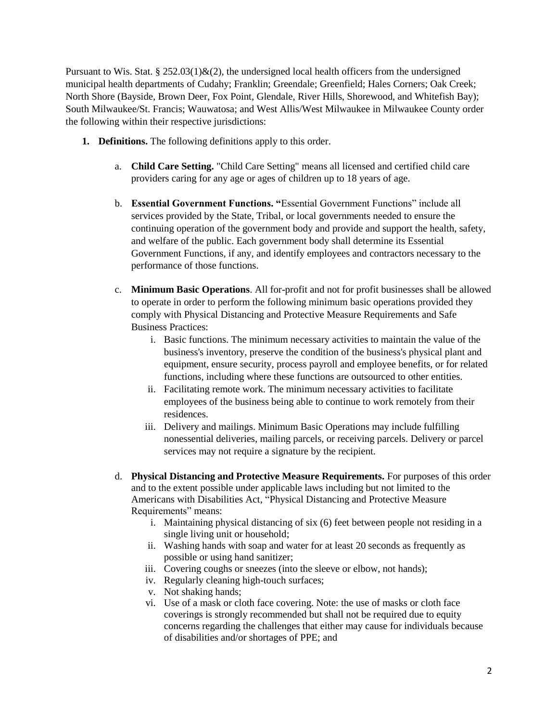Pursuant to Wis. Stat. § 252.03(1) $\&$ (2), the undersigned local health officers from the undersigned municipal health departments of Cudahy; Franklin; Greendale; Greenfield; Hales Corners; Oak Creek; North Shore (Bayside, Brown Deer, Fox Point, Glendale, River Hills, Shorewood, and Whitefish Bay); South Milwaukee/St. Francis; Wauwatosa; and West Allis/West Milwaukee in Milwaukee County order the following within their respective jurisdictions:

- **1. Definitions.** The following definitions apply to this order.
	- a. **Child Care Setting.** "Child Care Setting" means all licensed and certified child care providers caring for any age or ages of children up to 18 years of age.
	- b. **Essential Government Functions. "**Essential Government Functions" include all services provided by the State, Tribal, or local governments needed to ensure the continuing operation of the government body and provide and support the health, safety, and welfare of the public. Each government body shall determine its Essential Government Functions, if any, and identify employees and contractors necessary to the performance of those functions.
	- c. **Minimum Basic Operations**. All for-profit and not for profit businesses shall be allowed to operate in order to perform the following minimum basic operations provided they comply with Physical Distancing and Protective Measure Requirements and Safe Business Practices:
		- i. Basic functions. The minimum necessary activities to maintain the value of the business's inventory, preserve the condition of the business's physical plant and equipment, ensure security, process payroll and employee benefits, or for related functions, including where these functions are outsourced to other entities.
		- ii. Facilitating remote work. The minimum necessary activities to facilitate employees of the business being able to continue to work remotely from their residences.
		- iii. Delivery and mailings. Minimum Basic Operations may include fulfilling nonessential deliveries, mailing parcels, or receiving parcels. Delivery or parcel services may not require a signature by the recipient.
	- d. **Physical Distancing and Protective Measure Requirements.** For purposes of this order and to the extent possible under applicable laws including but not limited to the Americans with Disabilities Act, "Physical Distancing and Protective Measure Requirements" means:
		- i. Maintaining physical distancing of six (6) feet between people not residing in a single living unit or household;
		- ii. Washing hands with soap and water for at least 20 seconds as frequently as possible or using hand sanitizer;
		- iii. Covering coughs or sneezes (into the sleeve or elbow, not hands);
		- iv. Regularly cleaning high-touch surfaces;
		- v. Not shaking hands;
		- vi. Use of a mask or cloth face covering. Note: the use of masks or cloth face coverings is strongly recommended but shall not be required due to equity concerns regarding the challenges that either may cause for individuals because of disabilities and/or shortages of PPE; and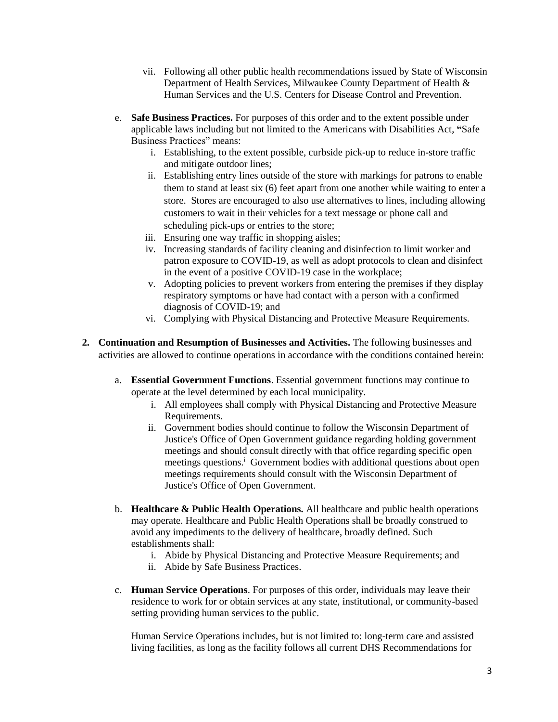- vii. Following all other public health recommendations issued by State of Wisconsin Department of Health Services, Milwaukee County Department of Health & Human Services and the U.S. Centers for Disease Control and Prevention.
- e. **Safe Business Practices.** For purposes of this order and to the extent possible under applicable laws including but not limited to the Americans with Disabilities Act, **"**Safe Business Practices" means:
	- i. Establishing, to the extent possible, curbside pick-up to reduce in-store traffic and mitigate outdoor lines;
	- ii. Establishing entry lines outside of the store with markings for patrons to enable them to stand at least six (6) feet apart from one another while waiting to enter a store. Stores are encouraged to also use alternatives to lines, including allowing customers to wait in their vehicles for a text message or phone call and scheduling pick-ups or entries to the store;
	- iii. Ensuring one way traffic in shopping aisles;
	- iv. Increasing standards of facility cleaning and disinfection to limit worker and patron exposure to COVID-19, as well as adopt protocols to clean and disinfect in the event of a positive COVID-19 case in the workplace;
	- v. Adopting policies to prevent workers from entering the premises if they display respiratory symptoms or have had contact with a person with a confirmed diagnosis of COVID-19; and
	- vi. Complying with Physical Distancing and Protective Measure Requirements.
- **2. Continuation and Resumption of Businesses and Activities.** The following businesses and activities are allowed to continue operations in accordance with the conditions contained herein:
	- a. **Essential Government Functions**. Essential government functions may continue to operate at the level determined by each local municipality.
		- i. All employees shall comply with Physical Distancing and Protective Measure Requirements.
		- ii. Government bodies should continue to follow the Wisconsin Department of Justice's Office of Open Government guidance regarding holding government meetings and should consult directly with that office regarding specific open meetings questions.<sup>i</sup> Government bodies with additional questions about open meetings requirements should consult with the Wisconsin Department of Justice's Office of Open Government.
	- b. **Healthcare & Public Health Operations.** All healthcare and public health operations may operate. Healthcare and Public Health Operations shall be broadly construed to avoid any impediments to the delivery of healthcare, broadly defined. Such establishments shall:
		- i. Abide by Physical Distancing and Protective Measure Requirements; and
		- ii. Abide by Safe Business Practices.
	- c. **Human Service Operations**. For purposes of this order, individuals may leave their residence to work for or obtain services at any state, institutional, or community-based setting providing human services to the public.

Human Service Operations includes, but is not limited to: long-term care and assisted living facilities, as long as the facility follows all current DHS Recommendations for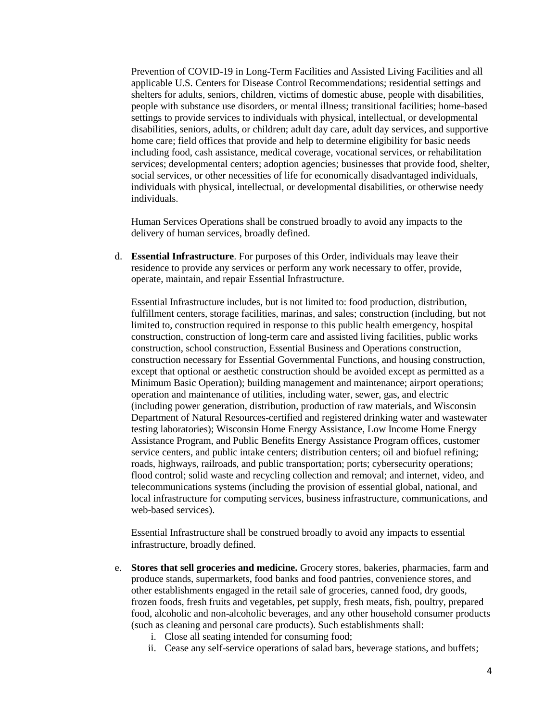Prevention of COVID-19 in Long-Term Facilities and Assisted Living Facilities and all applicable U.S. Centers for Disease Control Recommendations; residential settings and shelters for adults, seniors, children, victims of domestic abuse, people with disabilities, people with substance use disorders, or mental illness; transitional facilities; home-based settings to provide services to individuals with physical, intellectual, or developmental disabilities, seniors, adults, or children; adult day care, adult day services, and supportive home care; field offices that provide and help to determine eligibility for basic needs including food, cash assistance, medical coverage, vocational services, or rehabilitation services; developmental centers; adoption agencies; businesses that provide food, shelter, social services, or other necessities of life for economically disadvantaged individuals, individuals with physical, intellectual, or developmental disabilities, or otherwise needy individuals.

Human Services Operations shall be construed broadly to avoid any impacts to the delivery of human services, broadly defined.

d. **Essential Infrastructure**. For purposes of this Order, individuals may leave their residence to provide any services or perform any work necessary to offer, provide, operate, maintain, and repair Essential Infrastructure.

Essential Infrastructure includes, but is not limited to: food production, distribution, fulfillment centers, storage facilities, marinas, and sales; construction (including, but not limited to, construction required in response to this public health emergency, hospital construction, construction of long-term care and assisted living facilities, public works construction, school construction, Essential Business and Operations construction, construction necessary for Essential Governmental Functions, and housing construction, except that optional or aesthetic construction should be avoided except as permitted as a Minimum Basic Operation); building management and maintenance; airport operations; operation and maintenance of utilities, including water, sewer, gas, and electric (including power generation, distribution, production of raw materials, and Wisconsin Department of Natural Resources-certified and registered drinking water and wastewater testing laboratories); Wisconsin Home Energy Assistance, Low Income Home Energy Assistance Program, and Public Benefits Energy Assistance Program offices, customer service centers, and public intake centers; distribution centers; oil and biofuel refining; roads, highways, railroads, and public transportation; ports; cybersecurity operations; flood control; solid waste and recycling collection and removal; and internet, video, and telecommunications systems (including the provision of essential global, national, and local infrastructure for computing services, business infrastructure, communications, and web-based services).

Essential Infrastructure shall be construed broadly to avoid any impacts to essential infrastructure, broadly defined.

- e. **Stores that sell groceries and medicine.** Grocery stores, bakeries, pharmacies, farm and produce stands, supermarkets, food banks and food pantries, convenience stores, and other establishments engaged in the retail sale of groceries, canned food, dry goods, frozen foods, fresh fruits and vegetables, pet supply, fresh meats, fish, poultry, prepared food, alcoholic and non-alcoholic beverages, and any other household consumer products (such as cleaning and personal care products). Such establishments shall:
	- i. Close all seating intended for consuming food;
	- ii. Cease any self-service operations of salad bars, beverage stations, and buffets;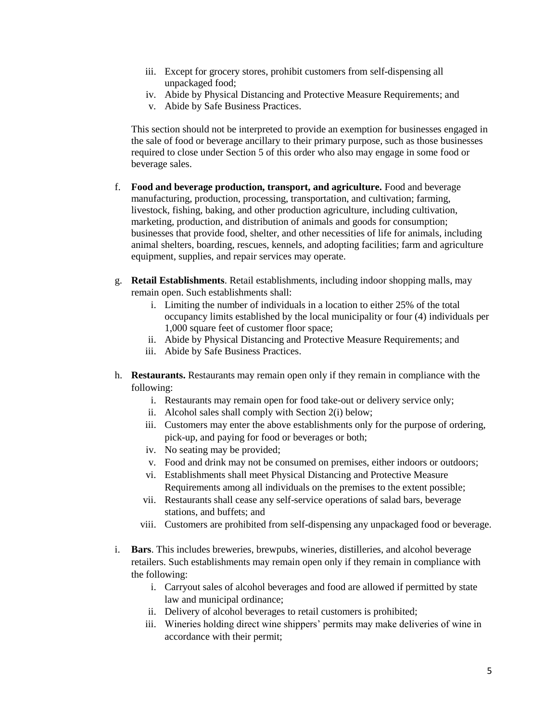- iii. Except for grocery stores, prohibit customers from self-dispensing all unpackaged food;
- iv. Abide by Physical Distancing and Protective Measure Requirements; and
- v. Abide by Safe Business Practices.

This section should not be interpreted to provide an exemption for businesses engaged in the sale of food or beverage ancillary to their primary purpose, such as those businesses required to close under Section 5 of this order who also may engage in some food or beverage sales.

- f. **Food and beverage production, transport, and agriculture.** Food and beverage manufacturing, production, processing, transportation, and cultivation; farming, livestock, fishing, baking, and other production agriculture, including cultivation, marketing, production, and distribution of animals and goods for consumption; businesses that provide food, shelter, and other necessities of life for animals, including animal shelters, boarding, rescues, kennels, and adopting facilities; farm and agriculture equipment, supplies, and repair services may operate.
- g. **Retail Establishments**. Retail establishments, including indoor shopping malls, may remain open. Such establishments shall:
	- i. Limiting the number of individuals in a location to either 25% of the total occupancy limits established by the local municipality or four (4) individuals per 1,000 square feet of customer floor space;
	- ii. Abide by Physical Distancing and Protective Measure Requirements; and
	- iii. Abide by Safe Business Practices.
- h. **Restaurants.** Restaurants may remain open only if they remain in compliance with the following:
	- i. Restaurants may remain open for food take-out or delivery service only;
	- ii. Alcohol sales shall comply with Section 2(i) below;
	- iii. Customers may enter the above establishments only for the purpose of ordering, pick-up, and paying for food or beverages or both;
	- iv. No seating may be provided;
	- v. Food and drink may not be consumed on premises, either indoors or outdoors;
	- vi. Establishments shall meet Physical Distancing and Protective Measure Requirements among all individuals on the premises to the extent possible;
	- vii. Restaurants shall cease any self-service operations of salad bars, beverage stations, and buffets; and
	- viii. Customers are prohibited from self-dispensing any unpackaged food or beverage.
- i. **Bars**. This includes breweries, brewpubs, wineries, distilleries, and alcohol beverage retailers. Such establishments may remain open only if they remain in compliance with the following:
	- i. Carryout sales of alcohol beverages and food are allowed if permitted by state law and municipal ordinance;
	- ii. Delivery of alcohol beverages to retail customers is prohibited;
	- iii. Wineries holding direct wine shippers' permits may make deliveries of wine in accordance with their permit;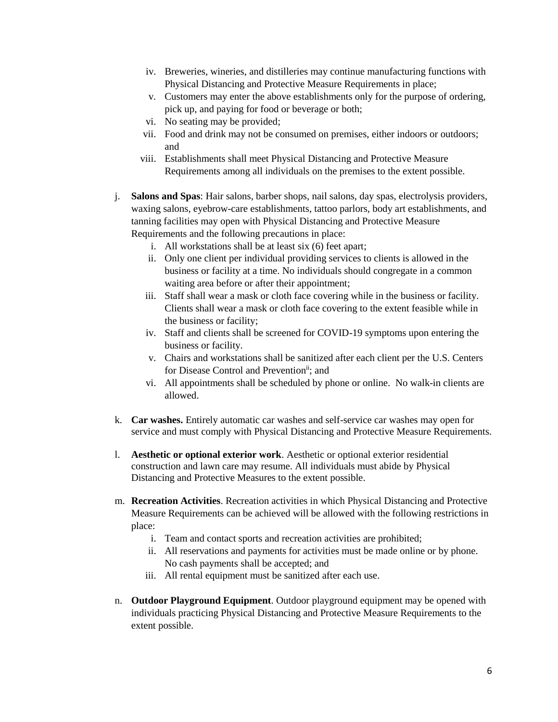- iv. Breweries, wineries, and distilleries may continue manufacturing functions with Physical Distancing and Protective Measure Requirements in place;
- v. Customers may enter the above establishments only for the purpose of ordering, pick up, and paying for food or beverage or both;
- vi. No seating may be provided;
- vii. Food and drink may not be consumed on premises, either indoors or outdoors; and
- viii. Establishments shall meet Physical Distancing and Protective Measure Requirements among all individuals on the premises to the extent possible.
- j. **Salons and Spas**: Hair salons, barber shops, nail salons, day spas, electrolysis providers, waxing salons, eyebrow-care establishments, tattoo parlors, body art establishments, and tanning facilities may open with Physical Distancing and Protective Measure Requirements and the following precautions in place:
	- i. All workstations shall be at least six (6) feet apart;
	- ii. Only one client per individual providing services to clients is allowed in the business or facility at a time. No individuals should congregate in a common waiting area before or after their appointment;
	- iii. Staff shall wear a mask or cloth face covering while in the business or facility. Clients shall wear a mask or cloth face covering to the extent feasible while in the business or facility;
	- iv. Staff and clients shall be screened for COVID-19 symptoms upon entering the business or facility.
	- v. Chairs and workstations shall be sanitized after each client per the U.S. Centers for Disease Control and Prevention<sup>ii</sup>; and
	- vi. All appointments shall be scheduled by phone or online. No walk-in clients are allowed.
- k. **Car washes.** Entirely automatic car washes and self-service car washes may open for service and must comply with Physical Distancing and Protective Measure Requirements.
- l. **Aesthetic or optional exterior work**. Aesthetic or optional exterior residential construction and lawn care may resume. All individuals must abide by Physical Distancing and Protective Measures to the extent possible.
- m. **Recreation Activities**. Recreation activities in which Physical Distancing and Protective Measure Requirements can be achieved will be allowed with the following restrictions in place:
	- i. Team and contact sports and recreation activities are prohibited;
	- ii. All reservations and payments for activities must be made online or by phone. No cash payments shall be accepted; and
	- iii. All rental equipment must be sanitized after each use.
- n. **Outdoor Playground Equipment**. Outdoor playground equipment may be opened with individuals practicing Physical Distancing and Protective Measure Requirements to the extent possible.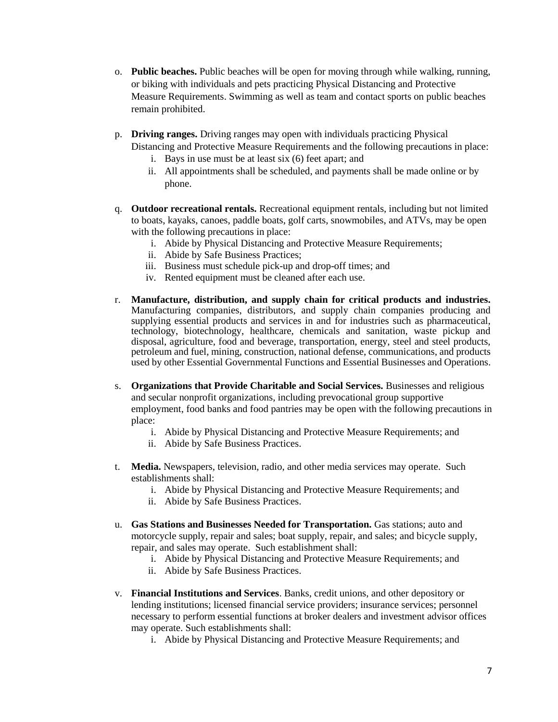- o. **Public beaches.** Public beaches will be open for moving through while walking, running, or biking with individuals and pets practicing Physical Distancing and Protective Measure Requirements. Swimming as well as team and contact sports on public beaches remain prohibited.
- p. **Driving ranges.** Driving ranges may open with individuals practicing Physical Distancing and Protective Measure Requirements and the following precautions in place:
	- i. Bays in use must be at least six (6) feet apart; and
		- ii. All appointments shall be scheduled, and payments shall be made online or by phone.
- q. **Outdoor recreational rentals.** Recreational equipment rentals, including but not limited to boats, kayaks, canoes, paddle boats, golf carts, snowmobiles, and ATVs, may be open with the following precautions in place:
	- i. Abide by Physical Distancing and Protective Measure Requirements;
	- ii. Abide by Safe Business Practices;
	- iii. Business must schedule pick-up and drop-off times; and
	- iv. Rented equipment must be cleaned after each use.
- r. **Manufacture, distribution, and supply chain for critical products and industries.** Manufacturing companies, distributors, and supply chain companies producing and supplying essential products and services in and for industries such as pharmaceutical, technology, biotechnology, healthcare, chemicals and sanitation, waste pickup and disposal, agriculture, food and beverage, transportation, energy, steel and steel products, petroleum and fuel, mining, construction, national defense, communications, and products used by other Essential Governmental Functions and Essential Businesses and Operations.
- s. **Organizations that Provide Charitable and Social Services.** Businesses and religious and secular nonprofit organizations, including prevocational group supportive employment, food banks and food pantries may be open with the following precautions in place:
	- i. Abide by Physical Distancing and Protective Measure Requirements; and
	- ii. Abide by Safe Business Practices.
- t. **Media.** Newspapers, television, radio, and other media services may operate. Such establishments shall:
	- i. Abide by Physical Distancing and Protective Measure Requirements; and
	- ii. Abide by Safe Business Practices.
- u. **Gas Stations and Businesses Needed for Transportation.** Gas stations; auto and motorcycle supply, repair and sales; boat supply, repair, and sales; and bicycle supply, repair, and sales may operate. Such establishment shall:
	- i. Abide by Physical Distancing and Protective Measure Requirements; and
	- ii. Abide by Safe Business Practices.
- v. **Financial Institutions and Services**. Banks, credit unions, and other depository or lending institutions; licensed financial service providers; insurance services; personnel necessary to perform essential functions at broker dealers and investment advisor offices may operate. Such establishments shall:
	- i. Abide by Physical Distancing and Protective Measure Requirements; and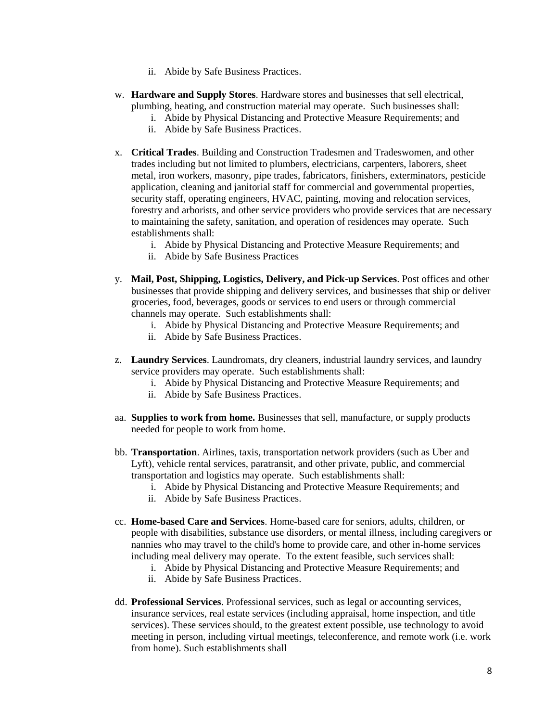- ii. Abide by Safe Business Practices.
- w. **Hardware and Supply Stores**. Hardware stores and businesses that sell electrical, plumbing, heating, and construction material may operate. Such businesses shall:
	- i. Abide by Physical Distancing and Protective Measure Requirements; and
	- ii. Abide by Safe Business Practices.
- x. **Critical Trades**. Building and Construction Tradesmen and Tradeswomen, and other trades including but not limited to plumbers, electricians, carpenters, laborers, sheet metal, iron workers, masonry, pipe trades, fabricators, finishers, exterminators, pesticide application, cleaning and janitorial staff for commercial and governmental properties, security staff, operating engineers, HVAC, painting, moving and relocation services, forestry and arborists, and other service providers who provide services that are necessary to maintaining the safety, sanitation, and operation of residences may operate. Such establishments shall:
	- i. Abide by Physical Distancing and Protective Measure Requirements; and
	- ii. Abide by Safe Business Practices
- y. **Mail, Post, Shipping, Logistics, Delivery, and Pick-up Services**. Post offices and other businesses that provide shipping and delivery services, and businesses that ship or deliver groceries, food, beverages, goods or services to end users or through commercial channels may operate. Such establishments shall:
	- i. Abide by Physical Distancing and Protective Measure Requirements; and
	- ii. Abide by Safe Business Practices.
- z. **Laundry Services**. Laundromats, dry cleaners, industrial laundry services, and laundry service providers may operate. Such establishments shall:
	- i. Abide by Physical Distancing and Protective Measure Requirements; and
	- ii. Abide by Safe Business Practices.
- aa. **Supplies to work from home.** Businesses that sell, manufacture, or supply products needed for people to work from home.
- bb. **Transportation**. Airlines, taxis, transportation network providers (such as Uber and Lyft), vehicle rental services, paratransit, and other private, public, and commercial transportation and logistics may operate. Such establishments shall:
	- i. Abide by Physical Distancing and Protective Measure Requirements; and
	- ii. Abide by Safe Business Practices.
- cc. **Home-based Care and Services**. Home-based care for seniors, adults, children, or people with disabilities, substance use disorders, or mental illness, including caregivers or nannies who may travel to the child's home to provide care, and other in-home services including meal delivery may operate. To the extent feasible, such services shall:
	- i. Abide by Physical Distancing and Protective Measure Requirements; and
	- ii. Abide by Safe Business Practices.
- dd. **Professional Services**. Professional services, such as legal or accounting services, insurance services, real estate services (including appraisal, home inspection, and title services). These services should, to the greatest extent possible, use technology to avoid meeting in person, including virtual meetings, teleconference, and remote work (i.e. work from home). Such establishments shall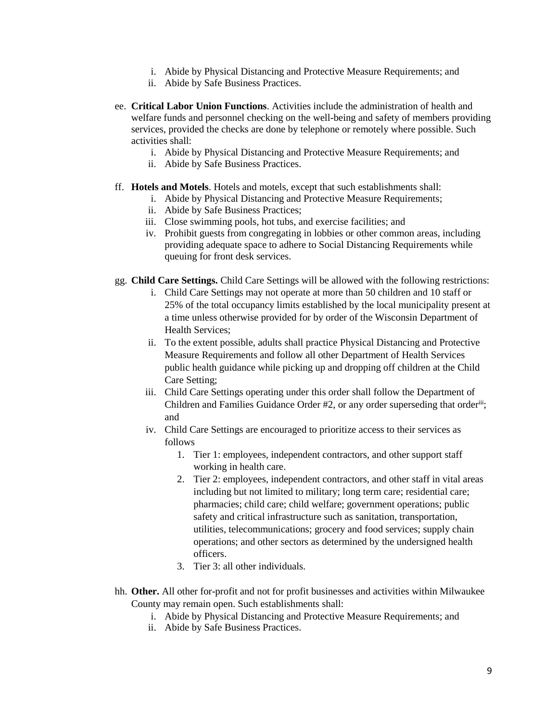- i. Abide by Physical Distancing and Protective Measure Requirements; and
- ii. Abide by Safe Business Practices.
- ee. **Critical Labor Union Functions**. Activities include the administration of health and welfare funds and personnel checking on the well-being and safety of members providing services, provided the checks are done by telephone or remotely where possible. Such activities shall:
	- i. Abide by Physical Distancing and Protective Measure Requirements; and
	- ii. Abide by Safe Business Practices.

## ff. **Hotels and Motels**. Hotels and motels, except that such establishments shall:

- i. Abide by Physical Distancing and Protective Measure Requirements;
- ii. Abide by Safe Business Practices;
- iii. Close swimming pools, hot tubs, and exercise facilities; and
- iv. Prohibit guests from congregating in lobbies or other common areas, including providing adequate space to adhere to Social Distancing Requirements while queuing for front desk services.
- gg. **Child Care Settings.** Child Care Settings will be allowed with the following restrictions:
	- i. Child Care Settings may not operate at more than 50 children and 10 staff or 25% of the total occupancy limits established by the local municipality present at a time unless otherwise provided for by order of the Wisconsin Department of Health Services;
	- ii. To the extent possible, adults shall practice Physical Distancing and Protective Measure Requirements and follow all other Department of Health Services public health guidance while picking up and dropping off children at the Child Care Setting;
	- iii. Child Care Settings operating under this order shall follow the Department of Children and Families Guidance Order #2, or any order superseding that orderiii; and
	- iv. Child Care Settings are encouraged to prioritize access to their services as follows
		- 1. Tier 1: employees, independent contractors, and other support staff working in health care.
		- 2. Tier 2: employees, independent contractors, and other staff in vital areas including but not limited to military; long term care; residential care; pharmacies; child care; child welfare; government operations; public safety and critical infrastructure such as sanitation, transportation, utilities, telecommunications; grocery and food services; supply chain operations; and other sectors as determined by the undersigned health officers.
		- 3. Tier 3: all other individuals.
- hh. **Other.** All other for-profit and not for profit businesses and activities within Milwaukee County may remain open. Such establishments shall:
	- i. Abide by Physical Distancing and Protective Measure Requirements; and
	- ii. Abide by Safe Business Practices.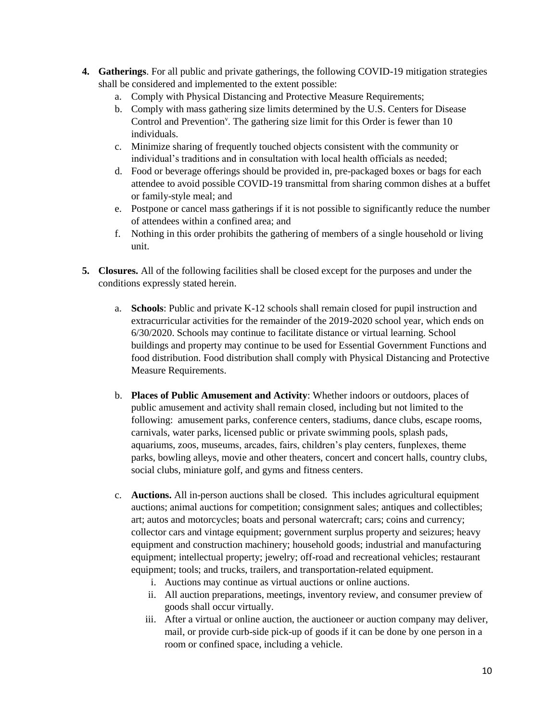- **4. Gatherings**. For all public and private gatherings, the following COVID-19 mitigation strategies shall be considered and implemented to the extent possible:
	- a. Comply with Physical Distancing and Protective Measure Requirements;
	- b. Comply with mass gathering size limits determined by the U.S. Centers for Disease Control and Prevention<sup>v</sup>. The gathering size limit for this Order is fewer than 10 individuals.
	- c. Minimize sharing of frequently touched objects consistent with the community or individual's traditions and in consultation with local health officials as needed;
	- d. Food or beverage offerings should be provided in, pre-packaged boxes or bags for each attendee to avoid possible COVID-19 transmittal from sharing common dishes at a buffet or family-style meal; and
	- e. Postpone or cancel mass gatherings if it is not possible to significantly reduce the number of attendees within a confined area; and
	- f. Nothing in this order prohibits the gathering of members of a single household or living unit.
- **5. Closures.** All of the following facilities shall be closed except for the purposes and under the conditions expressly stated herein.
	- a. **Schools**: Public and private K-12 schools shall remain closed for pupil instruction and extracurricular activities for the remainder of the 2019-2020 school year, which ends on 6/30/2020. Schools may continue to facilitate distance or virtual learning. School buildings and property may continue to be used for Essential Government Functions and food distribution. Food distribution shall comply with Physical Distancing and Protective Measure Requirements.
	- b. **Places of Public Amusement and Activity**: Whether indoors or outdoors, places of public amusement and activity shall remain closed, including but not limited to the following: amusement parks, conference centers, stadiums, dance clubs, escape rooms, carnivals, water parks, licensed public or private swimming pools, splash pads, aquariums, zoos, museums, arcades, fairs, children's play centers, funplexes, theme parks, bowling alleys, movie and other theaters, concert and concert halls, country clubs, social clubs, miniature golf, and gyms and fitness centers.
	- c. **Auctions.** All in-person auctions shall be closed. This includes agricultural equipment auctions; animal auctions for competition; consignment sales; antiques and collectibles; art; autos and motorcycles; boats and personal watercraft; cars; coins and currency; collector cars and vintage equipment; government surplus property and seizures; heavy equipment and construction machinery; household goods; industrial and manufacturing equipment; intellectual property; jewelry; off-road and recreational vehicles; restaurant equipment; tools; and trucks, trailers, and transportation-related equipment.
		- i. Auctions may continue as virtual auctions or online auctions.
		- ii. All auction preparations, meetings, inventory review, and consumer preview of goods shall occur virtually.
		- iii. After a virtual or online auction, the auctioneer or auction company may deliver, mail, or provide curb-side pick-up of goods if it can be done by one person in a room or confined space, including a vehicle.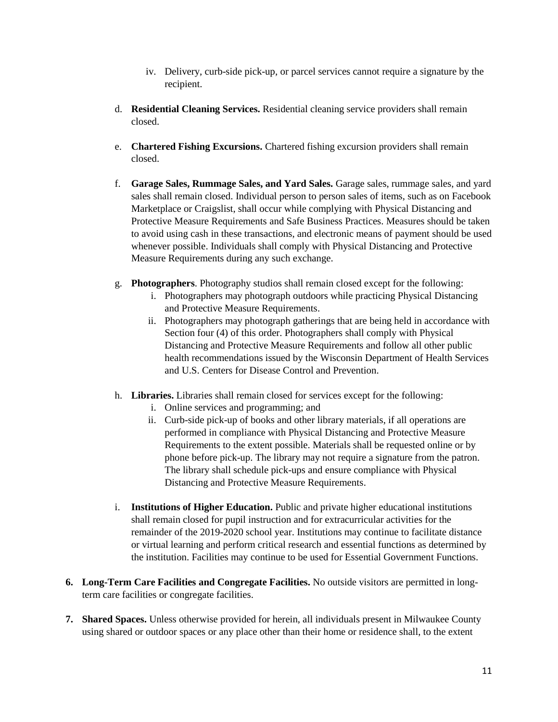- iv. Delivery, curb-side pick-up, or parcel services cannot require a signature by the recipient.
- d. **Residential Cleaning Services.** Residential cleaning service providers shall remain closed.
- e. **Chartered Fishing Excursions.** Chartered fishing excursion providers shall remain closed.
- f. **Garage Sales, Rummage Sales, and Yard Sales.** Garage sales, rummage sales, and yard sales shall remain closed. Individual person to person sales of items, such as on Facebook Marketplace or Craigslist, shall occur while complying with Physical Distancing and Protective Measure Requirements and Safe Business Practices. Measures should be taken to avoid using cash in these transactions, and electronic means of payment should be used whenever possible. Individuals shall comply with Physical Distancing and Protective Measure Requirements during any such exchange.
- g. **Photographers**. Photography studios shall remain closed except for the following:
	- i. Photographers may photograph outdoors while practicing Physical Distancing and Protective Measure Requirements.
	- ii. Photographers may photograph gatherings that are being held in accordance with Section four (4) of this order. Photographers shall comply with Physical Distancing and Protective Measure Requirements and follow all other public health recommendations issued by the Wisconsin Department of Health Services and U.S. Centers for Disease Control and Prevention.
- h. **Libraries.** Libraries shall remain closed for services except for the following:
	- i. Online services and programming; and
	- ii. Curb-side pick-up of books and other library materials, if all operations are performed in compliance with Physical Distancing and Protective Measure Requirements to the extent possible. Materials shall be requested online or by phone before pick-up. The library may not require a signature from the patron. The library shall schedule pick-ups and ensure compliance with Physical Distancing and Protective Measure Requirements.
- i. **Institutions of Higher Education.** Public and private higher educational institutions shall remain closed for pupil instruction and for extracurricular activities for the remainder of the 2019-2020 school year. Institutions may continue to facilitate distance or virtual learning and perform critical research and essential functions as determined by the institution. Facilities may continue to be used for Essential Government Functions.
- **6. Long-Term Care Facilities and Congregate Facilities.** No outside visitors are permitted in longterm care facilities or congregate facilities.
- **7. Shared Spaces.** Unless otherwise provided for herein, all individuals present in Milwaukee County using shared or outdoor spaces or any place other than their home or residence shall, to the extent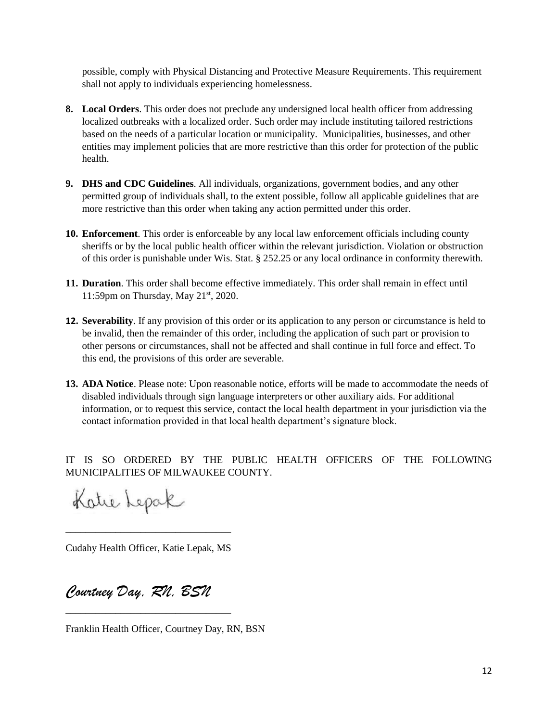possible, comply with Physical Distancing and Protective Measure Requirements. This requirement shall not apply to individuals experiencing homelessness.

- **8. Local Orders**. This order does not preclude any undersigned local health officer from addressing localized outbreaks with a localized order. Such order may include instituting tailored restrictions based on the needs of a particular location or municipality. Municipalities, businesses, and other entities may implement policies that are more restrictive than this order for protection of the public health.
- **9. DHS and CDC Guidelines**. All individuals, organizations, government bodies, and any other permitted group of individuals shall, to the extent possible, follow all applicable guidelines that are more restrictive than this order when taking any action permitted under this order.
- **10. Enforcement**. This order is enforceable by any local law enforcement officials including county sheriffs or by the local public health officer within the relevant jurisdiction. Violation or obstruction of this order is punishable under Wis. Stat. § 252.25 or any local ordinance in conformity therewith.
- **11. Duration**. This order shall become effective immediately. This order shall remain in effect until 11:59pm on Thursday, May  $21<sup>st</sup>$ , 2020.
- **12. Severability**. If any provision of this order or its application to any person or circumstance is held to be invalid, then the remainder of this order, including the application of such part or provision to other persons or circumstances, shall not be affected and shall continue in full force and effect. To this end, the provisions of this order are severable.
- **13. ADA Notice**. Please note: Upon reasonable notice, efforts will be made to accommodate the needs of disabled individuals through sign language interpreters or other auxiliary aids. For additional information, or to request this service, contact the local health department in your jurisdiction via the contact information provided in that local health department's signature block.

IT IS SO ORDERED BY THE PUBLIC HEALTH OFFICERS OF THE FOLLOWING MUNICIPALITIES OF MILWAUKEE COUNTY.

Katie Lepak

Cudahy Health Officer, Katie Lepak, MS

\_\_\_\_\_\_\_\_\_\_\_\_\_\_\_\_\_\_\_\_\_\_\_\_\_\_\_\_\_\_\_\_\_

*Courtney Day, RN, BSN*

\_\_\_\_\_\_\_\_\_\_\_\_\_\_\_\_\_\_\_\_\_\_\_\_\_\_\_\_\_\_\_\_\_

Franklin Health Officer, Courtney Day, RN, BSN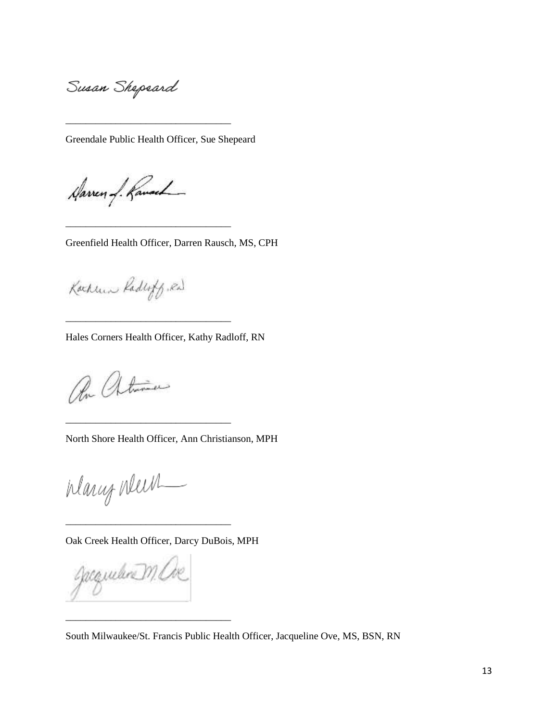Susan Shepeard

Greendale Public Health Officer, Sue Shepeard

\_\_\_\_\_\_\_\_\_\_\_\_\_\_\_\_\_\_\_\_\_\_\_\_\_\_\_\_\_\_\_\_\_

\_\_\_\_\_\_\_\_\_\_\_\_\_\_\_\_\_\_\_\_\_\_\_\_\_\_\_\_\_\_\_\_\_

\_\_\_\_\_\_\_\_\_\_\_\_\_\_\_\_\_\_\_\_\_\_\_\_\_\_\_\_\_\_\_\_\_

\_\_\_\_\_\_\_\_\_\_\_\_\_\_\_\_\_\_\_\_\_\_\_\_\_\_\_\_\_\_\_\_\_

Haven of Ranach

Greenfield Health Officer, Darren Rausch, MS, CPH

Kachun Raderty, Ral

Hales Corners Health Officer, Kathy Radloff, RN

On Atuma

North Shore Health Officer, Ann Christianson, MPH

Warry News  $\overline{\phantom{a}}$ 

Oak Creek Health Officer, Darcy DuBois, MPH

\_\_\_\_\_\_\_\_\_\_\_\_\_\_\_\_\_\_\_\_\_\_\_\_\_\_\_\_\_\_\_\_\_

\_\_\_\_\_\_\_\_\_\_\_\_\_\_\_\_\_\_\_\_\_\_\_\_\_\_\_\_\_\_\_\_\_

gacquelere M.

South Milwaukee/St. Francis Public Health Officer, Jacqueline Ove, MS, BSN, RN